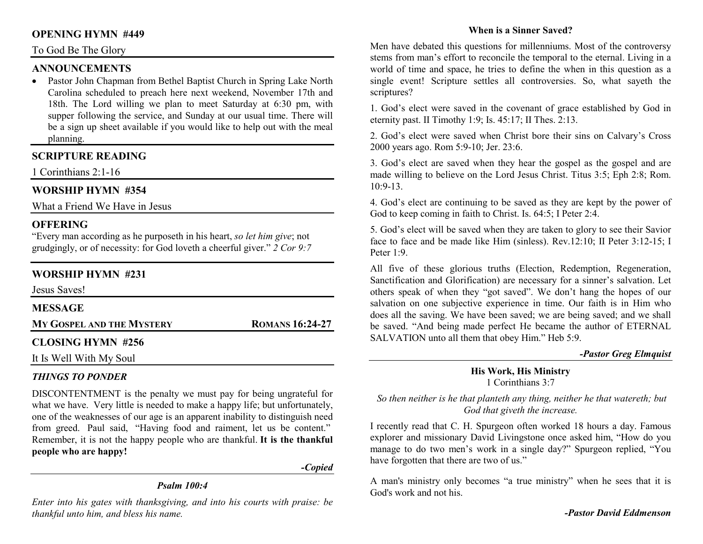### **OPENING HYMN #449**

### To God Be The Glory

# **ANNOUNCEMENTS**

 • Pastor John Chapman from Bethel Baptist Church in Spring Lake North Carolina scheduled to preach here next weekend, November 17th and 18th. The Lord willing we plan to meet Saturday at 6:30 pm, with supper following the service, and Sunday at our usual time. There will be a sign up sheet available if you would like to help out with the meal planning.

# **SCRIPTURE READING**

1 Corinthians 2:1-16

# **WORSHIP HYMN #354**

What a Friend We Have in Jesus

# **OFFERING**

 "Every man according as he purposeth in his heart, *so let him give*; not grudgingly, or of necessity: for God loveth a cheerful giver." *2 Cor 9:7*

# **WORSHIP HYMN #231**

| Jesus Saves!              |                        |
|---------------------------|------------------------|
| <b>MESSAGE</b>            |                        |
| MY GOSPEL AND THE MYSTERY | <b>ROMANS 16:24-27</b> |
| <b>CLOSING HYMN #256</b>  |                        |
| It Is Well With My Soul   |                        |

# *THINGS TO PONDER*

DISCONTENTMENT is the penalty we must pay for being ungrateful for what we have. Very little is needed to make a happy life; but unfortunately, one of the weaknesses of our age is an apparent inability to distinguish need from greed. Paul said, "Having food and raiment, let us be content." Remember, it is not the happy people who are thankful. **It is the thankful people who are happy!** 

*-Copied* 

# *Psalm 100:4*

*Enter into his gates with thanksgiving, and into his courts with praise: be thankful unto him, and bless his name.* 

### **When is a Sinner Saved?**

Men have debated this questions for millenniums. Most of the controversy stems from man's effort to reconcile the temporal to the eternal. Living in a world of time and space, he tries to define the when in this question as a single event! Scripture settles all controversies. So, what sayeth the scriptures?

1. God's elect were saved in the covenant of grace established by God in eternity past. II Timothy 1:9; Is. 45:17; II Thes. 2:13.

2. God's elect were saved when Christ bore their sins on Calvary's Cross 2000 years ago. Rom 5:9-10; Jer. 23:6.

3. God's elect are saved when they hear the gospel as the gospel and are made willing to believe on the Lord Jesus Christ. Titus 3:5; Eph 2:8; Rom.  $10:9-13$ .

4. God's elect are continuing to be saved as they are kept by the power of God to keep coming in faith to Christ. Is. 64:5; I Peter 2:4.

5. God's elect will be saved when they are taken to glory to see their Savior face to face and be made like Him (sinless). Rev.12:10; II Peter 3:12-15; I Peter 1:9.

All five of these glorious truths (Election, Redemption, Regeneration, Sanctification and Glorification) are necessary for a sinner's salvation. Let others speak of when they "got saved". We don't hang the hopes of our salvation on one subjective experience in time. Our faith is in Him who does all the saving. We have been saved; we are being saved; and we shall be saved. "And being made perfect He became the author of ETERNAL SALVATION unto all them that obey Him." Heb 5:9.

#### *-Pastor Greg Elmquist*

### **His Work, His Ministry**1 Corinthians 3:7

*So then neither is he that planteth any thing, neither he that watereth; but God that giveth the increase.*

I recently read that C. H. Spurgeon often worked 18 hours a day. Famous explorer and missionary David Livingstone once asked him, "How do you manage to do two men's work in a single day?" Spurgeon replied, "You have forgotten that there are two of us."

A man's ministry only becomes "a true ministry" when he sees that it is God's work and not his.

*-Pastor David Eddmenson*